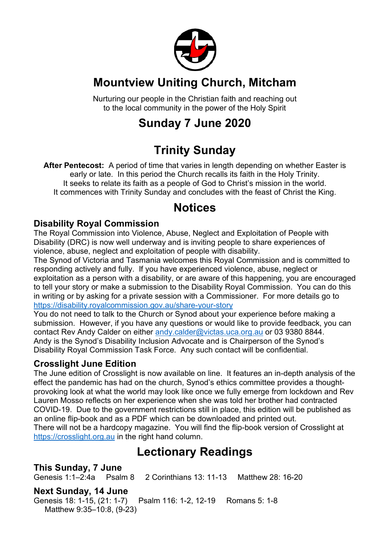

### **Mountview Uniting Church, Mitcham**

Nurturing our people in the Christian faith and reaching out to the local community in the power of the Holy Spirit

# **Sunday 7 June 2020**

# **Trinity Sunday**

**After Pentecost:** A period of time that varies in length depending on whether Easter is early or late. In this period the Church recalls its faith in the Holy Trinity. It seeks to relate its faith as a people of God to Christ's mission in the world. It commences with Trinity Sunday and concludes with the feast of Christ the King.

### **Notices**

#### **Disability Royal Commission**

The Royal Commission into Violence, Abuse, Neglect and Exploitation of People with Disability (DRC) is now well underway and is inviting people to share experiences of violence, abuse, neglect and exploitation of people with disability.

The Synod of Victoria and Tasmania welcomes this Royal Commission and is committed to responding actively and fully. If you have experienced violence, abuse, neglect or exploitation as a person with a disability, or are aware of this happening, you are encouraged to tell your story or make a submission to the Disability Royal Commission. You can do this in writing or by asking for a private session with a Commissioner. For more details go to https://disability.royalcommission.gov.au/share-your-story

You do not need to talk to the Church or Synod about your experience before making a submission. However, if you have any questions or would like to provide feedback, you can contact Rev Andy Calder on either andy.calder@victas.uca.org.au or 03 9380 8844. Andy is the Synod's Disability Inclusion Advocate and is Chairperson of the Synod's Disability Royal Commission Task Force. Any such contact will be confidential.

#### **Crosslight June Edition**

The June edition of Crosslight is now available on line. It features an in-depth analysis of the effect the pandemic has had on the church, Synod's ethics committee provides a thoughtprovoking look at what the world may look like once we fully emerge from lockdown and Rev Lauren Mosso reflects on her experience when she was told her brother had contracted COVID-19. Due to the government restrictions still in place, this edition will be published as an online flip-book and as a PDF which can be downloaded and printed out. There will not be a hardcopy magazine. You will find the flip-book version of Crosslight at

https://crosslight.org.au in the right hand column.

### **Lectionary Readings**

**This Sunday, 7 June** Genesis 1:1–2:4a Psalm 8 2 Corinthians 13: 11-13 Matthew 28: 16-20

#### **Next Sunday, 14 June**

Genesis 18: 1-15, (21: 1-7) Psalm 116: 1-2, 12-19 Romans 5: 1-8 Matthew 9:35–10:8, (9-23)